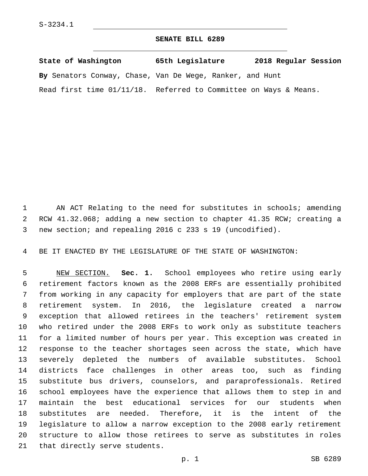## **SENATE BILL 6289**

| State of Washington                                              | 65th Legislature | 2018 Regular Session |
|------------------------------------------------------------------|------------------|----------------------|
| By Senators Conway, Chase, Van De Wege, Ranker, and Hunt         |                  |                      |
| Read first time 01/11/18. Referred to Committee on Ways & Means. |                  |                      |

 AN ACT Relating to the need for substitutes in schools; amending RCW 41.32.068; adding a new section to chapter 41.35 RCW; creating a new section; and repealing 2016 c 233 s 19 (uncodified).

BE IT ENACTED BY THE LEGISLATURE OF THE STATE OF WASHINGTON:

 NEW SECTION. **Sec. 1.** School employees who retire using early retirement factors known as the 2008 ERFs are essentially prohibited from working in any capacity for employers that are part of the state retirement system. In 2016, the legislature created a narrow exception that allowed retirees in the teachers' retirement system who retired under the 2008 ERFs to work only as substitute teachers for a limited number of hours per year. This exception was created in response to the teacher shortages seen across the state, which have severely depleted the numbers of available substitutes. School districts face challenges in other areas too, such as finding substitute bus drivers, counselors, and paraprofessionals. Retired school employees have the experience that allows them to step in and maintain the best educational services for our students when substitutes are needed. Therefore, it is the intent of the legislature to allow a narrow exception to the 2008 early retirement structure to allow those retirees to serve as substitutes in roles that directly serve students.